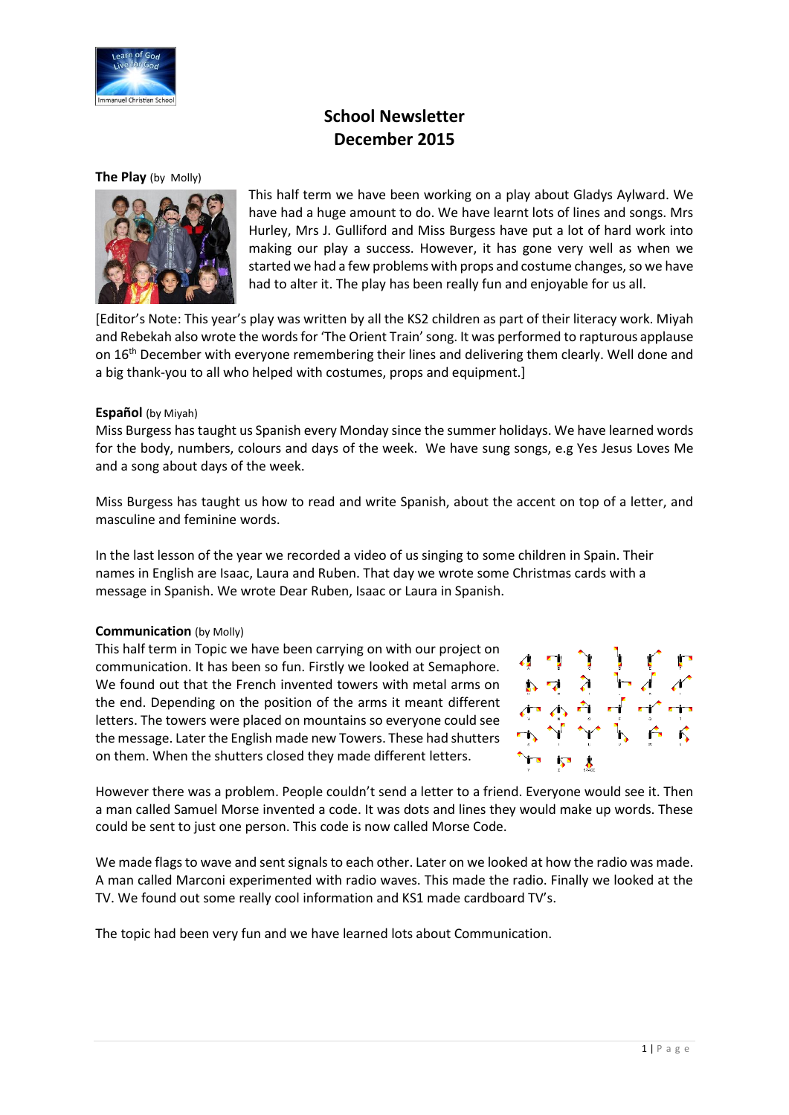

# **School Newsletter December 2015**

#### **The Play** (by Molly)



This half term we have been working on a play about Gladys Aylward. We have had a huge amount to do. We have learnt lots of lines and songs. Mrs Hurley, Mrs J. Gulliford and Miss Burgess have put a lot of hard work into making our play a success. However, it has gone very well as when we started we had a few problems with props and costume changes, so we have had to alter it. The play has been really fun and enjoyable for us all.

[Editor's Note: This year's play was written by all the KS2 children as part of their literacy work. Miyah and Rebekah also wrote the words for 'The Orient Train' song. It was performed to rapturous applause on 16<sup>th</sup> December with everyone remembering their lines and delivering them clearly. Well done and a big thank-you to all who helped with costumes, props and equipment.]

#### **Español** (by Miyah)

Miss Burgess has taught us Spanish every Monday since the summer holidays. We have learned words for the body, numbers, colours and days of the week. We have sung songs, e.g Yes Jesus Loves Me and a song about days of the week.

Miss Burgess has taught us how to read and write Spanish, about the accent on top of a letter, and masculine and feminine words.

In the last lesson of the year we recorded a video of us singing to some children in Spain. Their names in English are Isaac, Laura and Ruben. That day we wrote some Christmas cards with a message in Spanish. We wrote Dear Ruben, Isaac or Laura in Spanish.

#### **Communication** (by Molly)

This half term in Topic we have been carrying on with our project on communication. It has been so fun. Firstly we looked at Semaphore. We found out that the French invented towers with metal arms on the end. Depending on the position of the arms it meant different letters. The towers were placed on mountains so everyone could see the message. Later the English made new Towers. These had shutters on them. When the shutters closed they made different letters.



However there was a problem. People couldn't send a letter to a friend. Everyone would see it. Then a man called Samuel Morse invented a code. It was dots and lines they would make up words. These could be sent to just one person. This code is now called Morse Code.

We made flags to wave and sent signals to each other. Later on we looked at how the radio was made. A man called Marconi experimented with radio waves. This made the radio. Finally we looked at the TV. We found out some really cool information and KS1 made cardboard TV's.

The topic had been very fun and we have learned lots about Communication.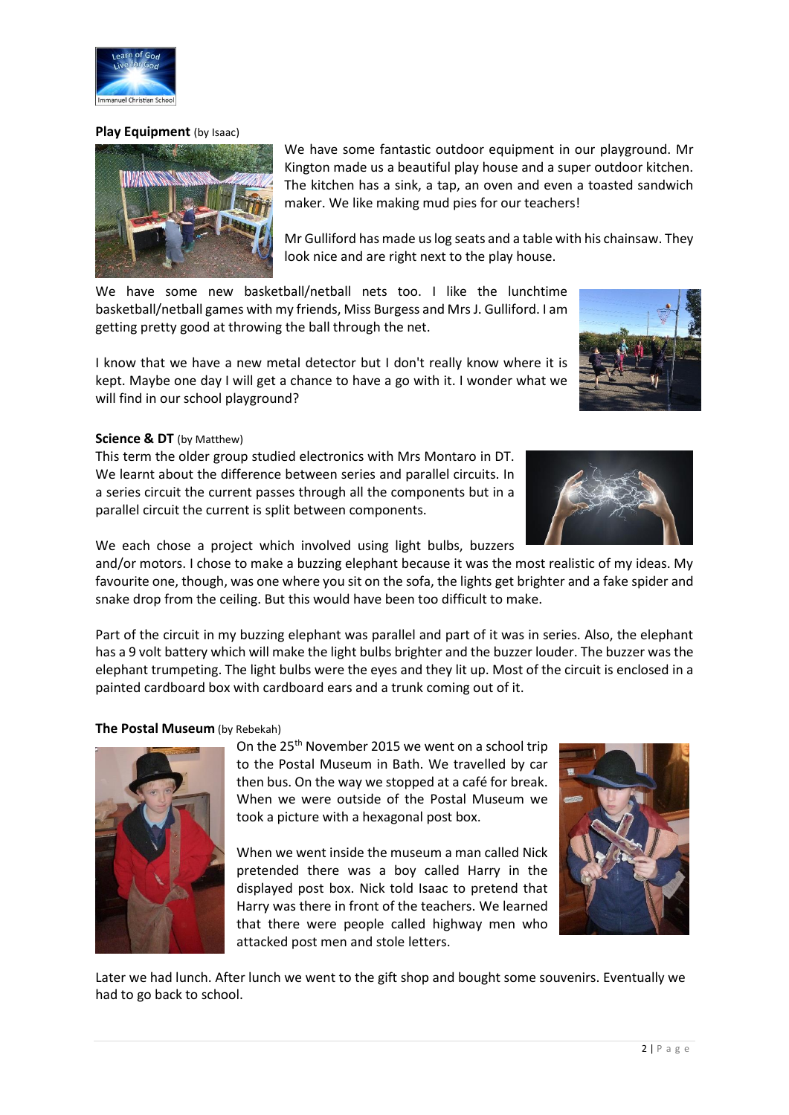nanuel Christian Sch

We have some fantastic outdoor equipment in our playground. Mr Kington made us a beautiful play house and a super outdoor kitchen. The kitchen has a sink, a tap, an oven and even a toasted sandwich maker. We like making mud pies for our teachers!

Mr Gulliford has made us log seats and a table with his chainsaw. They look nice and are right next to the play house.

We have some new basketball/netball nets too. I like the lunchtime basketball/netball games with my friends, Miss Burgess and Mrs J. Gulliford. I am getting pretty good at throwing the ball through the net.

I know that we have a new metal detector but I don't really know where it is kept. Maybe one day I will get a chance to have a go with it. I wonder what we will find in our school playground?

#### **Science & DT** (by Matthew)

This term the older group studied electronics with Mrs Montaro in DT. We learnt about the difference between series and parallel circuits. In a series circuit the current passes through all the components but in a parallel circuit the current is split between components.

We each chose a project which involved using light bulbs, buzzers

and/or motors. I chose to make a buzzing elephant because it was the most realistic of my ideas. My favourite one, though, was one where you sit on the sofa, the lights get brighter and a fake spider and snake drop from the ceiling. But this would have been too difficult to make.

Part of the circuit in my buzzing elephant was parallel and part of it was in series. Also, the elephant has a 9 volt battery which will make the light bulbs brighter and the buzzer louder. The buzzer was the elephant trumpeting. The light bulbs were the eyes and they lit up. Most of the circuit is enclosed in a painted cardboard box with cardboard ears and a trunk coming out of it.

#### **The Postal Museum** (by Rebekah)

On the 25<sup>th</sup> November 2015 we went on a school trip to the Postal Museum in Bath. We travelled by car then bus. On the way we stopped at a café for break. When we were outside of the Postal Museum we took a picture with a hexagonal post box.

When we went inside the museum a man called Nick pretended there was a boy called Harry in the displayed post box. Nick told Isaac to pretend that Harry was there in front of the teachers. We learned that there were people called highway men who attacked post men and stole letters.

Later we had lunch. After lunch we went to the gift shop and bought some souvenirs. Eventually we had to go back to school.







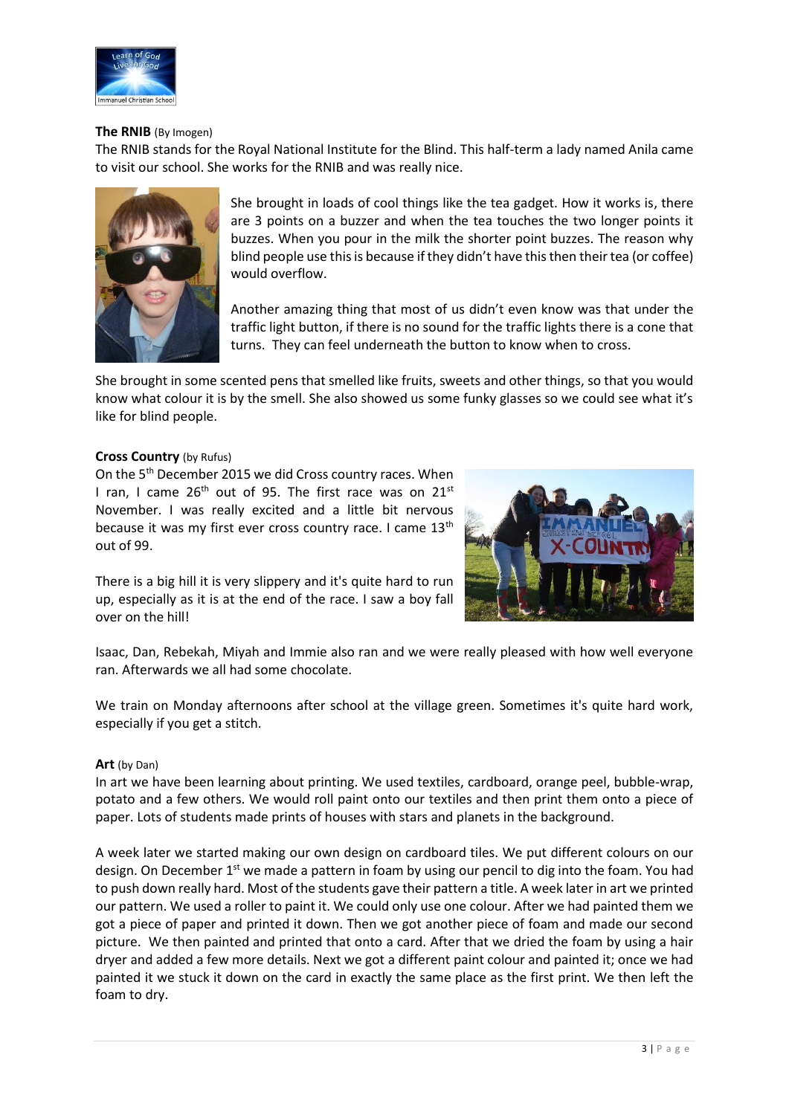

### **The RNIB** (By Imogen)

The RNIB stands for the Royal National Institute for the Blind. This half-term a lady named Anila came to visit our school. She works for the RNIB and was really nice.



She brought in loads of cool things like the tea gadget. How it works is, there are 3 points on a buzzer and when the tea touches the two longer points it buzzes. When you pour in the milk the shorter point buzzes. The reason why blind people use this is because if they didn't have this then their tea (or coffee) would overflow.

Another amazing thing that most of us didn't even know was that under the traffic light button, if there is no sound for the traffic lights there is a cone that turns. They can feel underneath the button to know when to cross.

She brought in some scented pens that smelled like fruits, sweets and other things, so that you would know what colour it is by the smell. She also showed us some funky glasses so we could see what it's like for blind people.

#### **Cross Country** (by Rufus)

On the 5th December 2015 we did Cross country races. When I ran, I came  $26<sup>th</sup>$  out of 95. The first race was on  $21<sup>st</sup>$ November. I was really excited and a little bit nervous because it was my first ever cross country race. I came  $13<sup>th</sup>$ out of 99.



There is a big hill it is very slippery and it's quite hard to run up, especially as it is at the end of the race. I saw a boy fall over on the hill!

Isaac, Dan, Rebekah, Miyah and Immie also ran and we were really pleased with how well everyone ran. Afterwards we all had some chocolate.

We train on Monday afternoons after school at the village green. Sometimes it's quite hard work, especially if you get a stitch.

#### **Art** (by Dan)

In art we have been learning about printing. We used textiles, cardboard, orange peel, bubble-wrap, potato and a few others. We would roll paint onto our textiles and then print them onto a piece of paper. Lots of students made prints of houses with stars and planets in the background.

A week later we started making our own design on cardboard tiles. We put different colours on our design. On December 1<sup>st</sup> we made a pattern in foam by using our pencil to dig into the foam. You had to push down really hard. Most of the students gave their pattern a title. A week later in art we printed our pattern. We used a roller to paint it. We could only use one colour. After we had painted them we got a piece of paper and printed it down. Then we got another piece of foam and made our second picture. We then painted and printed that onto a card. After that we dried the foam by using a hair dryer and added a few more details. Next we got a different paint colour and painted it; once we had painted it we stuck it down on the card in exactly the same place as the first print. We then left the foam to dry.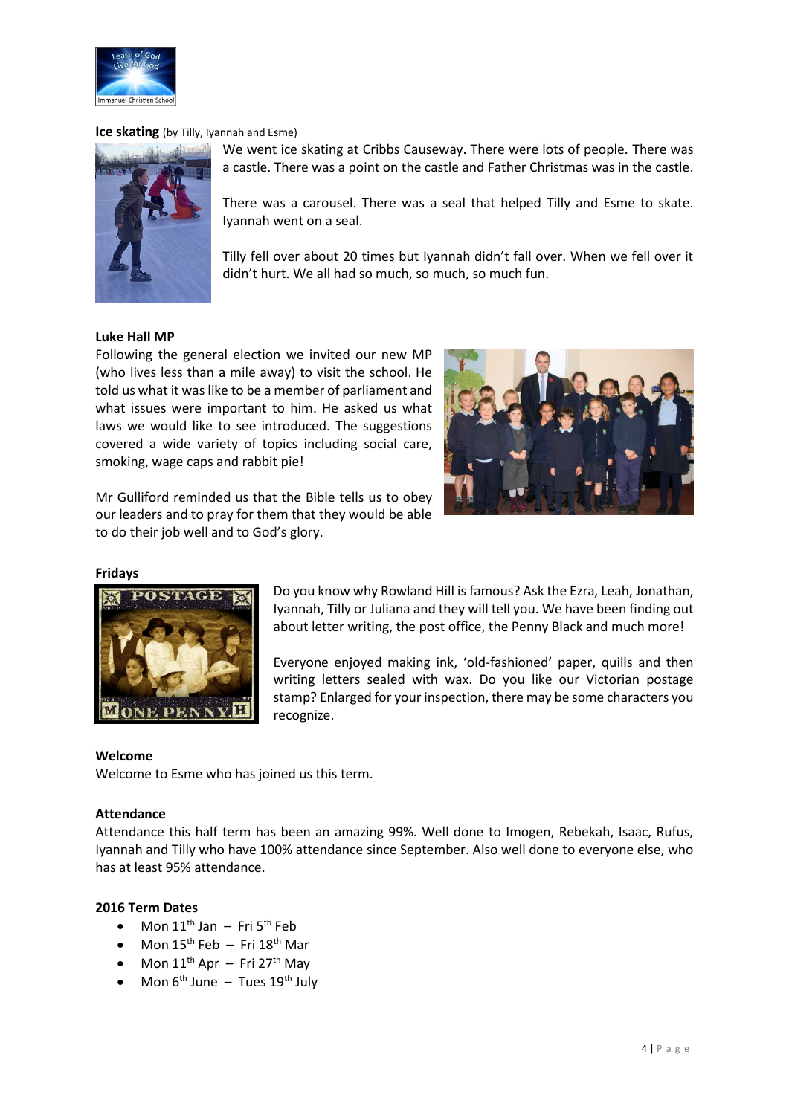

### **Ice skating** (by Tilly, Iyannah and Esme)



We went ice skating at Cribbs Causeway. There were lots of people. There was a castle. There was a point on the castle and Father Christmas was in the castle.

There was a carousel. There was a seal that helped Tilly and Esme to skate. Iyannah went on a seal.

Tilly fell over about 20 times but Iyannah didn't fall over. When we fell over it didn't hurt. We all had so much, so much, so much fun.

#### **Luke Hall MP**

Following the general election we invited our new MP (who lives less than a mile away) to visit the school. He told us what it was like to be a member of parliament and what issues were important to him. He asked us what laws we would like to see introduced. The suggestions covered a wide variety of topics including social care, smoking, wage caps and rabbit pie!

Mr Gulliford reminded us that the Bible tells us to obey our leaders and to pray for them that they would be able to do their job well and to God's glory.



#### **Fridays**



Do you know why Rowland Hill is famous? Ask the Ezra, Leah, Jonathan, Iyannah, Tilly or Juliana and they will tell you. We have been finding out about letter writing, the post office, the Penny Black and much more!

Everyone enjoyed making ink, 'old-fashioned' paper, quills and then writing letters sealed with wax. Do you like our Victorian postage stamp? Enlarged for your inspection, there may be some characters you recognize.

#### **Welcome**

Welcome to Esme who has joined us this term.

#### **Attendance**

Attendance this half term has been an amazing 99%. Well done to Imogen, Rebekah, Isaac, Rufus, Iyannah and Tilly who have 100% attendance since September. Also well done to everyone else, who has at least 95% attendance.

#### **2016 Term Dates**

- $\bullet$  Mon 11<sup>th</sup> Jan Fri 5<sup>th</sup> Feb
- $\bullet$  Mon 15<sup>th</sup> Feb Fri 18<sup>th</sup> Mar
- Mon  $11<sup>th</sup>$  Apr Fri 27<sup>th</sup> May
- Mon  $6<sup>th</sup>$  June Tues  $19<sup>th</sup>$  July